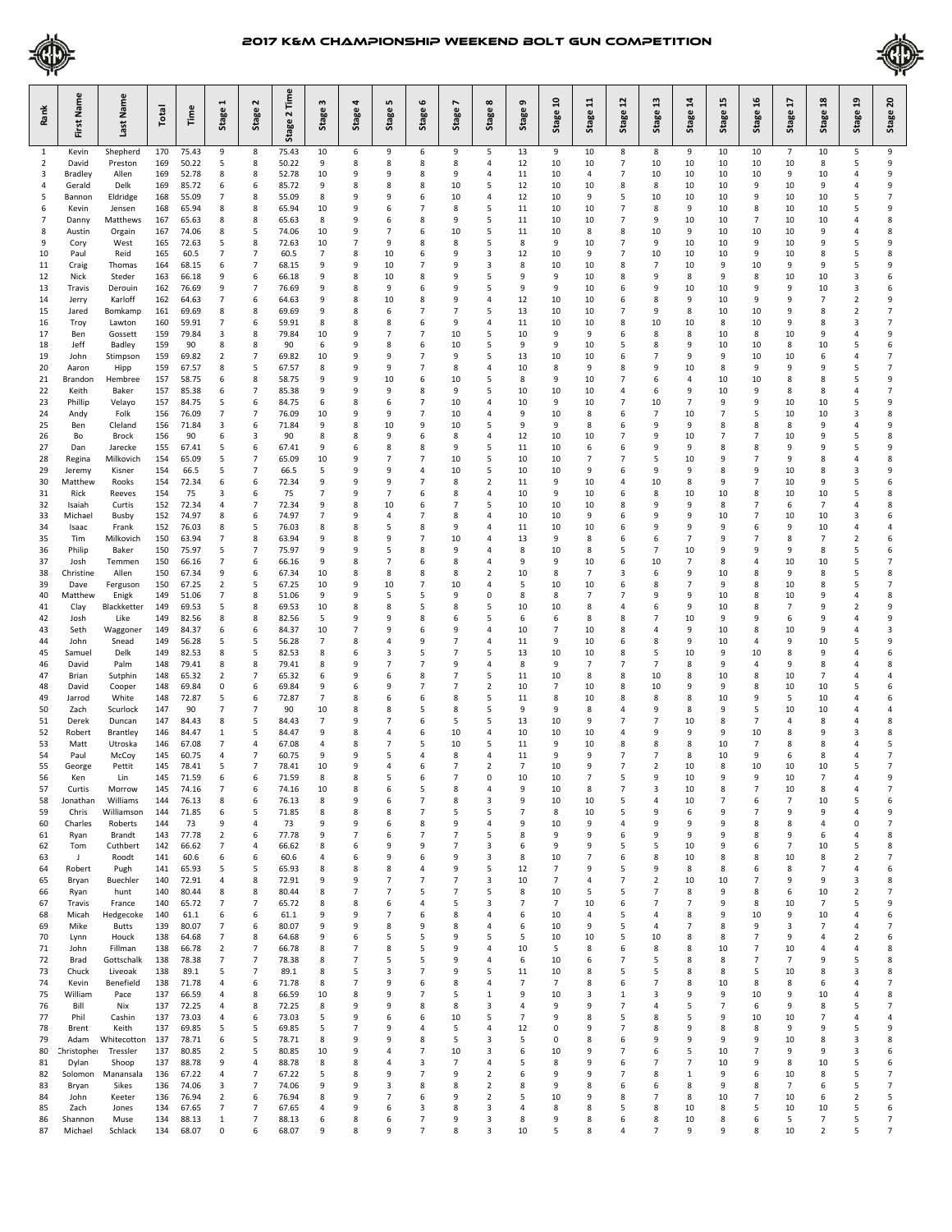



| Rank                           | First Name          | Last Name              | Total      | Time           | 1<br>Stage          | $\sim$<br>Stage          | Time<br>Stage 2 | 3<br>Stage          | 4<br>Stage          | LŊ<br>Stage         | $\mathbf \omega$<br><b>Stage</b> | $\overline{ }$<br>Stage | $\infty$<br><b>Stage</b>         | G<br>Stage           | ຊ<br>Stage     | H<br>Stage           | ุว<br>Stage         | ຌ<br>Stage           | 24<br>Stage          | 45<br>Stage         | 9£<br>Stage          | H<br>Stage           | $\overline{a}$<br>Stage | ុម<br>ម<br>Stage             | ຊ<br>Stage                       |
|--------------------------------|---------------------|------------------------|------------|----------------|---------------------|--------------------------|-----------------|---------------------|---------------------|---------------------|----------------------------------|-------------------------|----------------------------------|----------------------|----------------|----------------------|---------------------|----------------------|----------------------|---------------------|----------------------|----------------------|-------------------------|------------------------------|----------------------------------|
| $\mathbf{1}$<br>$\overline{2}$ | Kevin<br>David      | Shepherd<br>Preston    | 170<br>169 | 75.43<br>50.22 | 9<br>5              | 8<br>8                   | 75.43<br>50.22  | 10<br>9             | 6<br>8              | 9<br>8              | 6<br>8                           | 9<br>8                  | 5<br>4                           | 13<br>12             | 9<br>10        | 10<br>10             | 8<br>$\overline{7}$ | 8<br>10              | 9<br>10              | 10<br>10            | 10<br>10             | $\overline{7}$<br>10 | 10<br>8                 | 5<br>5                       | 9<br>9                           |
| 3                              | <b>Bradley</b>      | Allen                  | 169        | 52.78          | 8                   | 8                        | 52.78           | 10                  | 9                   | 9                   | 8                                | 9                       | $\overline{4}$                   | 11                   | 10             | 4                    | 7                   | 10                   | 10                   | 10                  | 10                   | 9                    | 10                      | 4                            | 9                                |
| 4                              | Gerald              | Delk                   | 169        | 85.72          | 6                   | 6                        | 85.72           | 9                   | 8                   | 8                   | 8                                | 10                      | 5                                | 12                   | 10             | 10                   | 8                   | 8                    | 10                   | 10                  | 9                    | 10                   | 9                       | 4                            | 9                                |
| 5<br>6                         | Bannon<br>Kevin     | Eldridge<br>Jensen     | 168<br>168 | 55.09<br>65.94 | 7<br>8              | 8<br>8                   | 55.09<br>65.94  | 8<br>10             | 9<br>9              | 9<br>6              | 6<br>$\overline{7}$              | 10<br>8                 | $\overline{4}$<br>5              | 12<br>11             | 10<br>10       | 9<br>10              | 5<br>$\overline{7}$ | 10<br>8              | 10<br>9              | 10<br>10            | 9<br>8               | 10<br>10             | 10<br>10                | 5<br>5                       | $\overline{7}$<br>9              |
| 7                              | Danny               | Matthews               | 167        | 65.63          | 8                   | 8                        | 65.63           | 8                   | 9                   | 6                   | 8                                | 9                       | 5                                | 11                   | 10             | 10                   | 7                   | 9                    | 10                   | 10                  | $\overline{7}$       | 10                   | 10                      | 4                            | 8                                |
| 8<br>9                         | Austin              | Orgain<br>West         | 167<br>165 | 74.06<br>72.63 | 8<br>5              | 5<br>8                   | 74.06<br>72.63  | 10<br>10            | 9<br>7              | $\overline{7}$<br>9 | 6<br>8                           | 10<br>8                 | 5<br>5                           | 11<br>8              | 10<br>9        | 8<br>10              | 8<br>7              | 10<br>9              | 9<br>10              | 10<br>10            | 10<br>9              | 10<br>10             | 9<br>9                  | 4<br>5                       | 8<br>9                           |
| 10                             | Cory<br>Paul        | Reid                   | 165        | 60.5           | 7                   | $\overline{7}$           | 60.5            | 7                   | 8                   | 10                  | 6                                | 9                       | 3                                | 12                   | 10             | 9                    | 7                   | 10                   | 10                   | 10                  | 9                    | 10                   | 8                       | 5                            | 8                                |
| 11                             | Craig               | Thomas                 | 164        | 68.15          | 6                   | $\overline{7}$           | 68.15           | 9                   | 9                   | 10                  | 7                                | 9                       | 3                                | 8                    | 10             | 10                   | 8                   | $\overline{7}$       | 10                   | 9                   | 10                   | 9                    | 9                       | 5                            | 9                                |
| 12<br>13                       | Nick<br>Travis      | Steder<br>Derouin      | 163<br>162 | 66.18<br>76.69 | 9<br>9              | 6<br>7                   | 66.18<br>76.69  | 9<br>9              | 8<br>8              | 10<br>9             | 8<br>6                           | 9<br>9                  | 5<br>5                           | 9<br>9               | 9<br>9         | 10<br>10             | 8<br>6              | 9<br>9               | 8<br>10              | 9<br>10             | 8<br>9               | 10<br>9              | 10<br>10                | 3<br>3                       | 6<br>6                           |
| 14                             | Jerry               | Karloff                | 162        | 64.63          | 7                   | 6                        | 64.63           | 9                   | 8                   | 10                  | 8                                | 9                       | 4                                | 12                   | 10             | 10                   | 6                   | 8                    | 9                    | 10                  | 9                    | 9                    | $\overline{7}$          | $\overline{2}$               | 9                                |
| 15                             | Jared               | Bomkamp                | 161        | 69.69          | 8                   | 8                        | 69.69           | 9                   | 8                   | 6                   | 7                                | $\overline{7}$          | 5                                | 13                   | 10             | 10                   | 7                   | 9                    | 8                    | 10                  | 10                   | 9                    | 8                       | 2                            | $\overline{7}$<br>$\overline{7}$ |
| 16<br>17                       | Troy<br>Ben         | Lawton<br>Gossett      | 160<br>159 | 59.91<br>79.84 | 7<br>3              | 6<br>8                   | 59.91<br>79.84  | 8<br>10             | 8<br>9              | 8<br>$\overline{7}$ | 6<br>$\overline{7}$              | 9<br>10                 | $\overline{4}$<br>5              | 11<br>10             | 10<br>9        | 10<br>9              | 8<br>6              | 10<br>8              | 10<br>8              | 8<br>10             | 10<br>8              | 9<br>10              | 8<br>9                  | 3<br>4                       | 9                                |
| 18                             | Jeff                | Badley                 | 159        | 90             | 8                   | 8                        | 90              | 6                   | 9                   | 8                   | 6                                | 10                      | 5                                | 9                    | 9              | 10                   | 5                   | 8                    | 9                    | 10                  | 10                   | 8                    | 10                      | 5                            | 6                                |
| 19<br>20                       | John<br>Aaron       | Stimpson<br>Hipp       | 159<br>159 | 69.82<br>67.57 | $\overline{2}$<br>8 | $\overline{7}$<br>5      | 69.82<br>67.57  | 10<br>8             | 9<br>9              | 9<br>9              | $\overline{7}$<br>$\overline{7}$ | 9<br>8                  | 5<br>$\overline{4}$              | 13<br>10             | 10<br>8        | 10<br>9              | 6<br>8              | $\overline{7}$<br>9  | 9<br>10              | 9<br>8              | 10<br>9              | 10<br>9              | 6<br>9                  | 4<br>5                       | $\overline{7}$<br>$\overline{7}$ |
| 21                             | Brandon             | Hembree                | 157        | 58.75          | 6                   | 8                        | 58.75           | 9                   | 9                   | 10                  | 6                                | 10                      | 5                                | 8                    | 9              | 10                   | 7                   | 6                    | $\overline{4}$       | 10                  | 10                   | 8                    | 8                       | 5                            | 9                                |
| 22                             | Keith               | Baker                  | 157        | 85.38          | 6                   | $\overline{7}$           | 85.38           | 9                   | 9                   | 9                   | 8                                | 9                       | 5                                | 10                   | 10             | 10                   | 4                   | 6                    | 9                    | 10                  | 9                    | 8                    | 8                       | 4                            | $\overline{7}$                   |
| 23<br>24                       | Phillip<br>Andy     | Velayo<br>Folk         | 157<br>156 | 84.75<br>76.09 | 5<br>7              | 6<br>$\overline{7}$      | 84.75<br>76.09  | 6<br>10             | 8<br>9              | 6<br>9              | $\overline{7}$<br>$\overline{7}$ | 10<br>10                | $\overline{4}$<br>4              | 10<br>9              | 9<br>10        | 10<br>8              | $\overline{7}$<br>6 | 10<br>$\overline{7}$ | $\overline{7}$<br>10 | 9<br>$\overline{7}$ | 9<br>5               | 10<br>10             | 10<br>10                | 5<br>3                       | 9<br>8                           |
| 25                             | Ben                 | Cleland                | 156        | 71.84          | 3                   | 6                        | 71.84           | 9                   | 8                   | 10                  | 9                                | 10                      | 5                                | 9                    | 9              | 8                    | 6                   | 9                    | 9                    | 8                   | 8                    | 8                    | 9                       | 4                            | 9                                |
| 26                             | Bo                  | Brock                  | 156        | 90             | 6                   | 3                        | 90              | 8<br>9              | 8                   | 9                   | 6                                | 8<br>9                  | 4<br>5                           | 12                   | 10             | 10                   | $\overline{7}$      | 9<br>9               | 10<br>9              | $\overline{7}$<br>8 | $\overline{7}$<br>8  | 10                   | 9<br>9                  | 5<br>5                       | 8<br>9                           |
| 27<br>28                       | Dan<br>Regina       | Jarecke<br>Milkovich   | 155<br>154 | 67.41<br>65.09 | 5<br>5              | 6<br>7                   | 67.41<br>65.09  | 10                  | 6<br>9              | 8<br>7              | 8<br>$\overline{7}$              | 10                      | 5                                | 11<br>10             | 10<br>10       | 6<br>$\overline{7}$  | 6<br>$\overline{7}$ | 5                    | 10                   | 9                   | 7                    | 9<br>9               | 8                       | 4                            | 8                                |
| 29                             | Jeremy              | Kisner                 | 154        | 66.5           | 5                   | $\overline{7}$           | 66.5            | 5                   | 9                   | 9                   | $\overline{a}$                   | 10                      | 5                                | 10                   | 10             | 9                    | 6                   | 9                    | 9                    | 8                   | 9                    | 10                   | 8                       | 3                            | 9                                |
| 30<br>31                       | Matthew<br>Rick     | Rooks<br>Reeves        | 154<br>154 | 72.34<br>75    | 6<br>3              | 6<br>6                   | 72.34<br>75     | 9<br>$\overline{7}$ | 9<br>9              | 9<br>7              | $\overline{7}$<br>6              | 8<br>8                  | $\overline{2}$<br>$\overline{4}$ | 11<br>10             | 9<br>9         | 10<br>10             | 4<br>6              | 10<br>8              | 8<br>10              | 9<br>10             | 7<br>8               | 10<br>10             | 9<br>10                 | 5<br>5                       | 6<br>8                           |
| 32                             | Isaiah              | Curtis                 | 152        | 72.34          | 4                   | $\overline{7}$           | 72.34           | 9                   | 8                   | 10                  | 6                                | $\overline{7}$          | 5                                | 10                   | 10             | 10                   | 8                   | 9                    | 9                    | 8                   | 7                    | 6                    | $\overline{7}$          | 4                            | 8                                |
| 33                             | Michael             | Busby                  | 152        | 74.97          | 8                   | 6                        | 74.97           | $\overline{7}$      | 9                   | 4                   | 7                                | 8                       | $\overline{4}$                   | 10                   | 10             | 9                    | 6                   | 9<br>9               | 9<br>9               | 10<br>9             | $\overline{7}$       | 10                   | 10                      | 3                            | 6                                |
| 34<br>35                       | Isaac<br>Tim        | Frank<br>Milkovich     | 152<br>150 | 76.03<br>63.94 | 8<br>7              | 5<br>8                   | 76.03<br>63.94  | 8<br>9              | 8<br>8              | 5<br>9              | 8<br>$\overline{7}$              | 9<br>10                 | $\overline{4}$<br>$\overline{4}$ | 11<br>13             | 10<br>9        | 10<br>8              | 6<br>6              | 6                    | $\overline{7}$       | 9                   | 6<br>$\overline{7}$  | 9<br>8               | 10<br>$\overline{7}$    | 4<br>$\overline{\mathbf{c}}$ | $\overline{4}$<br>6              |
| 36                             | Philip              | Baker                  | 150        | 75.97          | 5                   | 7                        | 75.97           | 9                   | 9                   | 5                   | 8                                | 9                       | $\overline{a}$                   | 8                    | 10             | 8                    | 5                   | 7                    | 10                   | 9                   | 9                    | 9                    | 8                       | 5                            | 6                                |
| 37<br>38                       | Josh<br>Christine   | Temmen<br>Allen        | 150<br>150 | 66.16<br>67.34 | 7<br>9              | 6<br>6                   | 66.16<br>67.34  | 9<br>10             | 8<br>8              | 7<br>8              | 6<br>8                           | 8<br>8                  | $\overline{4}$<br>$\overline{2}$ | 9<br>10              | 9<br>8         | 10<br>$\overline{7}$ | 6<br>3              | 10<br>6              | $\overline{7}$<br>9  | 8<br>10             | 4<br>8               | 10<br>9              | 10<br>8                 | 5<br>5                       | $\overline{7}$<br>8              |
| 39                             | Dave                | Ferguson               | 150        | 67.25          | 2                   | 5                        | 67.25           | 10                  | 9                   | 10                  | $\overline{7}$                   | 10                      | 4                                | 5                    | 10             | 10                   | 6                   | 8                    | $\overline{7}$       | 9                   | 8                    | 10                   | 8                       | 5                            | $\overline{7}$                   |
| 40                             | Matthew             | Enigk                  | 149        | 51.06          | 7                   | 8                        | 51.06           | 9                   | 9                   | 5                   | 5                                | 9                       | $\mathbf 0$                      | 8                    | 8              | $\overline{7}$       | 7                   | 9                    | 9                    | 10                  | 8                    | 10                   | 9                       | 4                            | 8                                |
| 41<br>42                       | Clay<br>Josh        | Blackketter<br>Like    | 149<br>149 | 69.53<br>82.56 | 5<br>8              | 8<br>8                   | 69.53<br>82.56  | 10<br>5             | 8<br>9              | 8<br>9              | 5<br>8                           | 8<br>6                  | 5<br>5                           | 10<br>6              | 10<br>6        | 8<br>8               | 4<br>8              | 6<br>7               | 9<br>10              | 10<br>9             | 8<br>9               | $\overline{7}$<br>6  | 9<br>9                  | 2<br>4                       | 9<br>9                           |
| 43                             | Seth                | Waggoner               | 149        | 84.37          | 6                   | 6                        | 84.37           | 10                  | $\overline{7}$      | 9                   | 6                                | 9                       | $\overline{4}$                   | 10                   | 7              | 10                   | 8                   | $\overline{4}$       | 9                    | 10                  | 8                    | 10                   | 9                       | 4                            | 3                                |
| 44<br>45                       | John<br>Samuel      | Snead<br>Delk          | 149<br>149 | 56.28<br>82.53 | 5<br>8              | 5<br>5                   | 56.28<br>82.53  | 7<br>8              | 8<br>6              | 4<br>3              | 9<br>5                           | $\overline{7}$<br>7     | $\overline{4}$<br>5              | 11<br>13             | 9<br>10        | 10<br>10             | 6<br>8              | 8<br>5               | 9<br>10              | 10<br>9             | 4<br>10              | 9<br>8               | 10<br>9                 | 5<br>4                       | 9<br>6                           |
| 46                             | David               | Palm                   | 148        | 79.41          | 8                   | 8                        | 79.41           | 8                   | 9                   | 7                   | $\overline{7}$                   | 9                       | $\overline{4}$                   | 8                    | 9              | $\overline{7}$       | $\overline{7}$      | $\overline{7}$       | 8                    | 9                   | 4                    | 9                    | 8                       | 4                            | 8                                |
| 47                             | Brian               | Sutphin                | 148        | 65.32          | 2                   | $\overline{7}$           | 65.32           | 6                   | 9                   | 6                   | 8                                | $\overline{7}$          | 5                                | 11                   | 10             | 8                    | 8                   | 10                   | 8                    | 10                  | 8                    | 10                   | $\overline{7}$          | 4                            | $\overline{4}$                   |
| 48<br>49                       | David<br>Jarrod     | Cooper<br>White        | 148<br>148 | 69.84<br>72.87 | 0<br>5              | 6<br>6                   | 69.84<br>72.87  | 9<br>7              | 6<br>8              | 9<br>6              | $\overline{7}$<br>6              | $\overline{7}$<br>8     | $\overline{2}$<br>5              | 10<br>11             | 7<br>8         | 10<br>10             | 8<br>8              | 10<br>8              | 9<br>8               | 9<br>10             | 8<br>9               | 10<br>5              | 10<br>10                | 5<br>4                       | 6<br>6                           |
| 50                             | Zach                | Scurlock               | 147        | 90             | 7                   | $\overline{7}$           | 90              | 10                  | 8                   | 8                   | 5                                | 8                       | 5                                | 9                    | 9              | 8                    | 4                   | 9                    | 8                    | 9                   | 5                    | 10                   | 10                      | 4                            | $\overline{4}$                   |
| 51<br>52                       | Derek<br>Robert     | Duncan<br>Brantley     | 147<br>146 | 84.43<br>84.47 | 8<br>$1\,$          | 5<br>5                   | 84.43<br>84.47  | 7<br>9              | 9<br>8              | 7<br>4              | 6<br>6                           | 5<br>10                 | 5<br>$\overline{4}$              | 13<br>10             | 10<br>10       | 9<br>10              | 7<br>4              | 7<br>9               | 10<br>9              | 8<br>9              | $\overline{7}$<br>10 | 4<br>8               | 8<br>9                  | 4<br>3                       | 8<br>8                           |
| 53                             | Matt                | Utroska                | 146        | 67.08          | 7                   | 4                        | 67.08           | 4                   | 8                   | 7                   | 5                                | 10                      | 5                                | 11                   | 9              | 10                   | 8                   | 8                    | 8                    | 10                  | $\overline{7}$       | 8                    | 8                       | 4                            | 5                                |
| 54                             | Paul                | McCoy                  | 145        | 60.75          | 4                   | $\overline{7}$           | 60.75           | 9                   | 9                   | 5                   | 4                                | 8                       | $\overline{a}$                   | 11                   | 9              | 9                    | $\overline{7}$      | $\overline{ }$       | 8                    | 10                  | 9                    | 6                    | 8                       | 4                            | $\overline{7}$                   |
| 55<br>-56                      | George<br>ken       | Pettit<br>LIN.         | 145<br>145 | 78.41<br>71.59 | 5<br>6              | $\overline{7}$<br>b      | 78.41<br>71.59  | 10                  | 9<br>8              | 4                   | 6                                | $\overline{7}$          | $\overline{2}$                   | $\overline{7}$<br>10 | 10<br>10       | 9                    | 7<br>כ              | $\mathfrak{p}$       | 10<br>10             | 8                   | 10                   | 10<br>10             | 10                      | 5                            | $\overline{7}$                   |
| 57                             | Curtis              | Morrow                 | 145        | 74.16          | 7                   | 6                        | 74.16           | 10                  | 8                   | 6                   | 5                                | 8                       | 4                                | 9                    | 10             | 8                    | $\overline{7}$      | 3                    | 10                   | 8                   | 7                    | 10                   | 8                       | 4                            | $\overline{7}$                   |
| 58<br>59                       | Jonathan<br>Chris   | Williams<br>Williamson | 144<br>144 | 76.13<br>71.85 | 8<br>6              | 6<br>5                   | 76.13<br>71.85  | 8<br>8              | 9<br>8              | 6<br>8              | $\overline{7}$<br>7              | 8<br>5                  | 3<br>5                           | 9<br>$\overline{7}$  | 10<br>8        | 10<br>10             | 5<br>5              | $\overline{4}$<br>9  | 10<br>6              | $\overline{7}$<br>9 | 6<br>7               | $\overline{7}$<br>9  | 10<br>9                 | 5<br>4                       | 6<br>9                           |
| 60                             | Charles             | Roberts                | 144        | 73             | 9                   | 4                        | 73              | 9                   | 9                   | 6                   | 8                                | 9                       | 4                                | 9                    | 10             | 9                    | 4                   | 9                    | 9                    | 9                   | 8                    | 8                    | 4                       | 0                            | $\overline{7}$                   |
| 61                             | Ryan                | Brandt                 | 143        | 77.78          | $\overline{2}$      | 6                        | 77.78           | 9                   | $\overline{7}$      | 6                   | $\overline{7}$                   | $\overline{7}$          | 5                                | 8                    | 9              | 9                    | 6                   | 9                    | 9                    | 9                   | 8                    | 9                    | 6                       | 4                            | 8                                |
| 62<br>63                       | Tom<br>$\mathsf{J}$ | Cuthbert<br>Roodt      | 142<br>141 | 66.62<br>60.6  | 7<br>6              | 4<br>6                   | 66.62<br>60.6   | 8<br>4              | 6<br>6              | 9<br>9              | 9<br>6                           | $\overline{7}$<br>9     | 3<br>3                           | 6<br>8               | 9<br>10        | 9<br>$\overline{7}$  | 5<br>6              | 5<br>8               | 10<br>10             | 9<br>8              | 6<br>8               | 7<br>10              | 10<br>8                 | 5<br>2                       | 8<br>7                           |
| 64                             | Robert              | Pugh                   | 141        | 65.93          | 5                   | 5                        | 65.93           | 8                   | 8                   | 8                   | $\overline{a}$                   | 9                       | 5                                | 12                   | 7              | 9                    | 5                   | 9                    | 8                    | 8                   | 6                    | 8                    | $\overline{7}$          | 4                            | 6                                |
| 65<br>66                       | Bryan<br>Ryan       | Buechler<br>hunt       | 140<br>140 | 72.91<br>80.44 | 4<br>8              | 8<br>8                   | 72.91<br>80.44  | 9<br>8              | 9<br>$\overline{7}$ | 7<br>$\overline{7}$ | 7<br>5                           | 7<br>$\overline{7}$     | 3<br>5                           | 10<br>8              | 7<br>10        | 4<br>5               | 7<br>5              | 2<br>$\overline{7}$  | 10<br>8              | 10<br>9             | 7<br>8               | 9<br>6               | 9<br>10                 | 3<br>$\overline{\mathbf{c}}$ | 8<br>$\overline{7}$              |
| 67                             | Travis              | France                 | 140        | 65.72          | 7                   | $\overline{\phantom{a}}$ | 65.72           | 8                   | 8                   | 6                   | $\overline{4}$                   | 5                       | 3                                | $\overline{7}$       | $\overline{7}$ | 10                   | 6                   | $\overline{7}$       | $\overline{7}$       | 9                   | 8                    | 10                   | $\overline{7}$          | 5                            | 9                                |
| 68                             | Micah               | Hedgecoke              | 140        | 61.1           | 6                   | 6                        | 61.1            | 9                   | 9                   | $\overline{7}$      | 6                                | 8                       | $\overline{4}$                   | 6                    | 10             | 4                    | 5                   | 4                    | 8                    | 9                   | 10                   | 9                    | 10                      | 4                            | 6                                |
| 69<br>70                       | Mike<br>Lynn        | <b>Butts</b><br>Houck  | 139<br>138 | 80.07<br>64.68 | 7<br>7              | 6<br>8                   | 80.07<br>64.68  | 9<br>9              | 9<br>6              | 8<br>5              | 9<br>5                           | 8<br>9                  | 4<br>5                           | 6<br>5               | 10<br>10       | 9<br>10              | 5<br>5              | 4<br>10              | $\overline{7}$<br>8  | 8<br>8              | 9<br>7               | 3<br>9               | $\overline{7}$<br>4     | 4<br>$\overline{2}$          | $\overline{7}$<br>6              |
| 71                             | John                | Fillman                | 138        | 66.78          | 2                   | $\overline{7}$           | 66.78           | 8                   | $\overline{7}$      | 8                   | 5                                | 9                       | $\overline{4}$                   | 10                   | 5              | 8                    | 6                   | 8                    | 8                    | 10                  | $\overline{7}$       | 10                   | 4                       | 4                            | 8                                |
| 72<br>73                       | Brad                | Gottschalk             | 138        | 78.38          | $\overline{7}$      | 7<br>$\overline{7}$      | 78.38           | 8<br>8              | $\overline{7}$<br>5 | 5<br>3              | 5<br>7                           | 9<br>9                  | $\overline{4}$<br>5              | 6<br>11              | 10             | 6                    | 7<br>5              | 5<br>5               | 8<br>8               | 8<br>8              | 7<br>5               | 7                    | 9                       | 5<br>3                       | 8<br>8                           |
| 74                             | Chuck<br>Kevin      | Liveoak<br>Benefield   | 138<br>138 | 89.1<br>71.78  | 5<br>4              | 6                        | 89.1<br>71.78   | 8                   | 7                   | 9                   | 6                                | 8                       | 4                                | 7                    | 10<br>7        | 8<br>8               | 6                   | $\overline{7}$       | 8                    | 10                  | 8                    | 10<br>8              | 8<br>6                  | 4                            | 7                                |
| 75                             | William             | Pace                   | 137        | 66.59          | 4                   | 8                        | 66.59           | 10                  | 8                   | 9                   | 7                                | 5                       | 1                                | 9                    | 10             | 3                    | $\mathbf{1}$        | 3                    | 9                    | 9                   | 10                   | 9                    | 10                      | 4                            | 8                                |
| 76<br>77                       | Bill<br>Phil        | Nix<br>Cashin          | 137<br>137 | 72.25<br>73.03 | 4<br>4              | 8<br>6                   | 72.25<br>73.03  | 8<br>5              | 9<br>9              | 9<br>6              | 8<br>6                           | 8<br>10                 | 3<br>5                           | 4<br>$\overline{7}$  | 9<br>9         | 9<br>8               | 7<br>5              | 4<br>8               | 5<br>5               | 7<br>9              | 6<br>10              | 9<br>10              | 8<br>7                  | 5<br>4                       | 7<br>$\overline{4}$              |
| 78                             | Brent               | Keith                  | 137        | 69.85          | 5                   | 5                        | 69.85           | 5                   | 7                   | 9                   | $\overline{4}$                   | 5                       | 4                                | 12                   | 0              | 9                    | 7                   | 8                    | 9                    | 8                   | 8                    | 9                    | 9                       | 5                            | 9                                |
| 79                             | Adam                | Whitecotton            | 137        | 78.71          | 6                   | 5                        | 78.71           | 8                   | 9                   | 9                   | 8                                | 5                       | 3                                | 5                    | 0              | 8                    | 6                   | 9                    | 9                    | 9                   | 9                    | 10                   | 8                       | 3                            | 8                                |
| 80<br>81                       | Christophe<br>Dylan | Tressler<br>Shoop      | 137<br>137 | 80.85<br>88.78 | 2<br>9              | 5<br>4                   | 80.85<br>88.78  | 10<br>8             | 9<br>8              | 4<br>4              | 7<br>3                           | 10<br>7                 | 3<br>$\overline{4}$              | 6<br>5               | 10<br>8        | 9<br>9               | 7<br>6              | 6<br>7               | 5<br>$\overline{7}$  | 10<br>10            | $\overline{7}$<br>9  | 9<br>8               | 9<br>10                 | 3<br>5                       | 6<br>6                           |
| 82                             | Solomon             | Manansala              | 136        | 67.22          | 4                   | 7                        | 67.22           | 5                   | 8                   | 9                   | 7                                | 9                       | $\overline{2}$                   | 6                    | 9              | 9                    | 7                   | 8                    | 1                    | 9                   | 6                    | 10                   | 8                       | 5                            | 7                                |
| 83<br>84                       | Bryan<br>John       | Sikes<br>Keeter        | 136<br>136 | 74.06<br>76.94 | 3<br>2              | 7<br>6                   | 74.06<br>76.94  | 9<br>8              | 9<br>9              | 3<br>$\overline{7}$ | 8<br>6                           | 8<br>9                  | $\overline{2}$<br>$\overline{2}$ | 8<br>5               | 9<br>10        | 8<br>9               | 6<br>8              | 6<br>7               | 8<br>8               | 9<br>10             | 8<br>$\overline{7}$  | 7<br>10              | 6<br>6                  | 5<br>$\overline{2}$          | 7<br>5                           |
| 85                             | Zach                | Jones                  | 134        | 67.65          | 7                   | $\overline{\phantom{a}}$ | 67.65           | 4                   | 9                   | 6                   | 3                                | 8                       | 3                                | 4                    | 8              | 8                    | 5                   | 8                    | 10                   | 8                   | 5                    | 10                   | 10                      | 5                            | 6                                |
| 86                             | Shannon             | Muse                   | 134        | 88.13          | $\mathbf{1}$        | 7                        | 88.13           | 6                   | 8                   | 6                   | 7                                | 9                       | 3                                | 8                    | 9              | 8                    | 6                   | 8                    | 10                   | 8                   | 6                    | 5                    | $\overline{7}$          | 5                            | 7                                |
| 87                             | Michael             | Schlack                | 134        | 68.07          | 0                   | 6                        | 68.07           | 9                   | 8                   | 9                   | 7                                | 8                       | 3                                | 10                   | 5              | 8                    | 4                   | $\overline{7}$       | 9                    | 9                   | 8                    | 10                   | $\overline{\mathbf{2}}$ | 5                            | 7                                |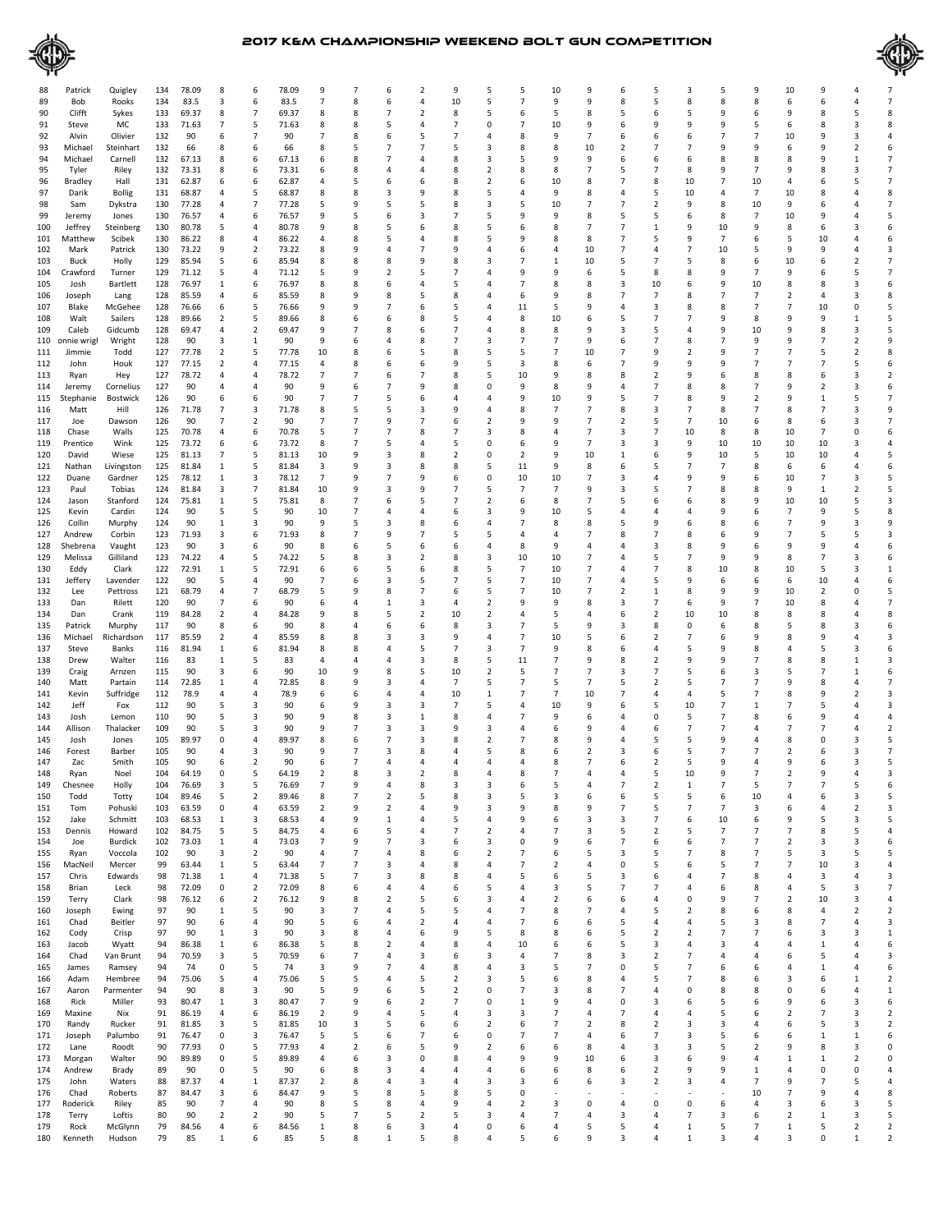



| 88  | Patrick     | Quigley       | 134 | 78.09 | 8              | 6                       | 78.09 | 9                        |                | 6              |                | 9                       | 5                       | 5              | 10                      | 9              | 6                       | 5              |                | 5              | 9              | 10                       | 9              |                |                |
|-----|-------------|---------------|-----|-------|----------------|-------------------------|-------|--------------------------|----------------|----------------|----------------|-------------------------|-------------------------|----------------|-------------------------|----------------|-------------------------|----------------|----------------|----------------|----------------|--------------------------|----------------|----------------|----------------|
| 89  | Bob         | Rooks         | 134 | 83.5  | 3              | 6                       | 83.5  | $\overline{7}$           | 8              | 6              | Δ              | 10                      | 5                       | $\overline{7}$ | 9                       | 9              | 8                       | 5              | 8              | 8              | 8              | 6                        | 6              | 4              | $\overline{7}$ |
| 90  | Clifft      | Sykes         | 133 | 69.37 | 8              | 7                       | 69.37 | 8                        | 8              | $\overline{7}$ | 2              | 8                       | 5                       | 6              | 5                       | 8              | 5                       | 6              | 5              | 9              | 6              | 9                        | 8              | 5              | 8              |
|     |             | МC            |     |       | $\overline{7}$ |                         |       |                          |                |                | $\overline{a}$ | $\overline{7}$          | $\Omega$                | $\overline{7}$ |                         |                |                         | 9              | 9              | 9              | 5              | 6                        |                | $\overline{3}$ |                |
| 91  | Steve       |               | 133 | 71.63 |                | 5                       | 71.63 | 8                        | 8              | 5              |                |                         |                         |                | 10                      | 9              | 6                       |                |                |                |                |                          | 8              |                | 8              |
| 92  | Alvin       | Olivier       | 132 | 90    | 6              | 7                       | 90    | 7                        | 8              | 6              | 5              |                         | 4                       | 8              | 9                       | $\overline{7}$ | 6                       | 6              |                |                | $\overline{7}$ | 10                       |                | 3              |                |
| 93  | Michael     | Steinhart     | 132 | 66    | 8              | 6                       | 66    | 8                        | 5              |                |                | 5                       | 3                       | 8              | 8                       | 10             | $\overline{2}$          |                |                | 9              | 9              | 6                        | 9              | $\overline{2}$ | 6              |
| 94  | Michael     | Carnell       | 132 | 67.13 | 8              | 6                       | 67.13 | 6                        | 8              |                |                | 8                       | 3                       | 5              | 9                       | 9              | 6                       | 6              | 6              | 8              | 8              | 8                        | 9              | $\mathbf{1}$   | 7              |
| 95  | Tyler       | Riley         | 132 | 73.31 | 8              | 6                       | 73.31 | 6                        | 8              | 4              |                | 8                       | $\overline{\mathbf{c}}$ | 8              | 8                       | $\overline{7}$ | 5                       | 7              | 8              | 9              | 7              | 9                        | 8              | 3              | 7              |
| 96  | Bradley     | Hall          | 131 | 62.87 | 6              | 6                       | 62.87 |                          | 5              | 6              |                | 8                       | $\overline{2}$          | 6              | 10                      | 8              | $\overline{7}$          | 8              | 10             | $\overline{7}$ | 10             | 4                        | 6              | 5              | $\overline{7}$ |
| 97  | Darik       | <b>Bollig</b> | 131 | 68.87 | 4              | 5                       | 68.87 | 8                        | 8              | 3              | 9              | 8                       | 5                       | 4              | 9                       | 8              | 4                       | 5              | 10             | 4              | 7              | 10                       | 8              | 4              | 8              |
| 98  | Sam         | Dykstra       | 130 | 77.28 | 4              | $\overline{7}$          | 77.28 | 5                        | 9              | 5              | 5              | 8                       | 3                       | 5              | 10                      | $\overline{7}$ | 7                       | $\overline{2}$ | 9              | 8              | 10             | 9                        | 6              | 4              | $\overline{7}$ |
| 99  | Jeremy      | Jones         | 130 | 76.57 | 4              | 6                       | 76.57 | 9                        | 5              | 6              | 3              | $\overline{7}$          | 5                       | 9              | 9                       | 8              | 5                       | 5              | 6              | 8              | 7              | 10                       | 9              | 4              | 5              |
| 100 | Jeffrey     | Steinberg     | 130 | 80.78 | 5              | $\overline{a}$          | 80.78 | 9                        | 8              | 5              | 6              | 8                       | 5                       | 6              | 8                       | $\overline{7}$ | $\overline{7}$          | 1              | 9              | 10             | 9              | 8                        | 6              | 3              | 6              |
| 101 | Matthew     | Scibek        | 130 | 86.22 | 8              | 4                       | 86.22 |                          | 8              | 5              |                | 8                       | 5                       | 9              | 8                       | 8              | $\overline{7}$          | 5              | 9              | $\overline{7}$ | 6              | 5                        | 10             | 4              | 6              |
| 102 | Mark        | Patrick       | 130 | 73.22 | 9              | $\overline{2}$          | 73.22 | 8                        | 9              |                |                | 9                       | 4                       | 6              | $\overline{4}$          | 10             | 7                       |                |                | 10             | 5              | 9                        | 9              | 4              | 3              |
|     |             |               |     | 85.94 | 5              | 6                       |       | 8                        | 8              | 8              |                | 8                       | 3                       | 7              | 1                       |                | 5                       | 7              | 5              | 8              | 6              |                          | 6              | $\overline{2}$ | 7              |
| 103 | Buck        | Holly         | 129 |       |                |                         | 85.94 |                          |                |                |                |                         |                         |                |                         | 10             |                         |                |                |                |                | 10                       |                |                |                |
| 104 | Crawford    | Turner        | 129 | 71.12 | 5              | 4                       | 71.12 | 5                        | 9              | 2              |                | 7                       | 4                       | 9              | 9                       | 6              | 5                       | 8              | 8              | 9              | 7              | 9                        | 6              | 5              | $\overline{7}$ |
| 105 | Josh        | Bartlett      | 128 | 76.97 | 1              | 6                       | 76.97 | 8                        | 8              | 6              |                | 5                       |                         | 7              | 8                       | 8              | 3                       | 10             | 6              | 9              | 10             | 8                        | 8              | 3              | 6              |
| 106 | Joseph      | Lang          | 128 | 85.59 | 4              | 6                       | 85.59 | 8                        | 9              | 8              |                | 8                       | 4                       | 6              | 9                       | 8              | $\overline{7}$          | 7              | 8              | $\overline{7}$ | $\overline{7}$ | 2                        | 4              | 3              | 8              |
| 107 | Blake       | McGehee       | 128 | 76.66 | 6              | 5                       | 76.66 | 9                        | 9              | 7              |                | 5                       | 4                       | 11             | 5                       | 9              | 4                       | 3              | 8              | 8              | 7              | 7                        | 10             | 0              | 5              |
| 108 | Walt        | Sailers       | 128 | 89.66 | $\overline{2}$ | 5                       | 89.66 | 8                        | 6              | 6              | 8              | 5                       | 4                       | 8              | 10                      | 6              | 5                       | 7              | 7              | 9              | 8              | 9                        | 9              | 1              | 5              |
| 109 | Caleb       | Gidcumb       | 128 | 69.47 | 4              | $\overline{2}$          | 69.47 | 9                        | $\overline{7}$ | 8              | 6              | 7                       | 4                       | 8              | 8                       | 9              | 3                       | 5              | 4              | 9              | 10             | 9                        | 8              | $\overline{3}$ | 5              |
| 110 | onnie wrigl | Wright        | 128 | 90    | 3              | 1                       | 90    | 9                        | 6              | 4              | 8              | 7                       | 3                       | $\overline{7}$ | 7                       | 9              | 6                       | 7              | 8              | 7              | 9              | 9                        |                | $\overline{2}$ | 9              |
| 111 | Jimmie      | Todd          | 127 | 77.78 | 2              | 5                       | 77.78 | 10                       | 8              | 6              |                | 8                       | 5                       | 5              | 7                       | 10             | 7                       | 9              |                | 9              | $\overline{7}$ | 7                        | 5              | $\overline{2}$ | 8              |
| 112 | John        | Houk          | 127 | 77.15 | $\overline{2}$ | 4                       | 77.15 | 4                        | 8              | 6              |                | 9                       | 5                       | 3              | 8                       | 6              | 7                       | 9              |                | 9              | $\overline{7}$ | 7                        | 7              | 5              | 6              |
| 113 | Ryan        | Hey           | 127 | 78.72 | 4              | 4                       | 78.72 | 7                        | 7              | 6              | 7              | 8                       | 5                       | 10             | 9                       | 8              | 8                       | 2              | 9              | 6              | 8              | 8                        | 6              | 3              | 2              |
| 114 | Jeremy      | Cornelius     | 127 | 90    | $\overline{4}$ | 4                       | 90    | 9                        | 6              | 7              | 9              | 8                       | $\Omega$                | 9              | 8                       | 9              | 4                       | 7              | 8              | 8              | $\overline{7}$ | 9                        | $\overline{2}$ | 3              | 6              |
| 115 | Stephanie   | Bostwick      | 126 | 90    | 6              | 6                       | 90    | 7                        | 7              | 5              |                | 4                       | 4                       | 9              | 10                      | 9              | 5                       | 7              | 8              | 9              | $\overline{2}$ | 9                        | 1              | 5              | $\overline{7}$ |
|     |             |               |     |       |                | 3                       |       |                          |                |                |                | 9                       | 4                       |                | $\overline{7}$          | $\overline{7}$ |                         |                | 7              | 8              |                | 8                        | 7              | $\overline{3}$ | 9              |
| 116 | Matt        | Hill          | 126 | 71.78 | $\overline{7}$ |                         | 71.78 | 8                        | 5              | 5              | 3              |                         |                         | 8              |                         |                | 8                       | 3              |                |                | 7              |                          |                |                |                |
| 117 | Joe         | Dawson        | 126 | 90    | 7              | $\overline{2}$          | 90    | $\overline{7}$           | $\overline{7}$ | 9              | 7              | 6                       | $\overline{2}$          | 9              | 9                       | $\overline{7}$ | $\overline{2}$          | 5              | 7              | 10             | 6              | 8                        | 6              | 3              | 7              |
| 118 | Chase       | Walls         | 125 | 70.78 | 4              | 6                       | 70.78 | 5                        | $\overline{7}$ | 7              | 8              | $\overline{7}$          | 3                       | 8              | $\overline{4}$          | $\overline{7}$ | 3                       | $\overline{7}$ | 10             | 8              | 8              | 10                       | $\overline{7}$ | 0              | 6              |
| 119 | Prentice    | Wink          | 125 | 73.72 | 6              | 6                       | 73.72 | 8                        | $\overline{7}$ | 5              |                | 5                       | 0                       | 6              | 9                       | $\overline{7}$ | 3                       | 3              | 9              | 10             | 10             | 10                       | 10             | 3              |                |
| 120 | David       | Wiese         | 125 | 81.13 | 7              | 5                       | 81.13 | 10                       | 9              | 3              |                | $\overline{\mathbf{c}}$ | 0                       | $\overline{2}$ | 9                       | 10             | 1                       | 6              | 9              | 10             | 5              | 10                       | 10             | 4              | 5              |
| 121 | Nathan      | Livingston    | 125 | 81.84 | 1              | 5                       | 81.84 | 3                        | 9              | 3              |                | 8                       | 5                       | 11             | 9                       | 8              | 6                       | 5              |                | $\overline{7}$ | 8              | 6                        | 6              | 4              | 6              |
| 122 | Duane       | Gardner       | 125 | 78.12 | 1              | 3                       | 78.12 | 7                        | 9              | 7              | 9              | 6                       | 0                       | 10             | 10                      | 7              | 3                       | 4              | 9              | 9              | 6              | 10                       | 7              | 3              | 5              |
| 123 | Paul        | Tobias        | 124 | 81.84 | 3              | $\overline{7}$          | 81.84 | 10                       | 9              | 3              | 9              | 7                       | 5                       | $\overline{7}$ | 7                       | 9              | 3                       | 5              | 7              | 8              | 8              | 9                        | 1              | $\overline{2}$ | 5              |
| 124 | Jason       | Stanford      | 124 | 75.81 | 1              | 5                       | 75.81 | 8                        | $\overline{7}$ | 6              |                | 7                       | $\overline{2}$          | 6              | 8                       | $\overline{7}$ | 5                       | 6              | 6              | 8              | 9              | 10                       | 10             | 5              | 3              |
| 125 | Kevin       | Cardin        | 124 | 90    | 5              | 5                       | 90    | 10                       | 7              | 4              |                | 6                       | 3                       | 9              | 10                      | 5              | 4                       |                |                | 9              | 6              | $\overline{7}$           | 9              | 5              | 8              |
| 126 | Collin      | Murphy        | 124 | 90    | 1              | 3                       | 90    | 9                        | 5              | 3              | 8              | 6                       | 4                       | 7              | 8                       | 8              | 5                       | 9              | 6              | 8              | 6              | 7                        | 9              | 3              | 9              |
|     |             |               |     |       |                | 6                       |       |                          | $\overline{7}$ | 9              |                | 5                       | 5                       |                | $\overline{a}$          | $\overline{7}$ |                         | 7              |                |                | 9              | 7                        |                | 5              | 3              |
| 127 | Andrew      | Corbin        | 123 | 71.93 | 3              |                         | 71.93 | 8                        |                |                |                |                         |                         | 4              |                         |                | 8                       |                | 8              | 6              |                |                          | 5              |                |                |
| 128 | Shebrena    | Vaught        | 123 | 90    | 3              | 6                       | 90    | 8                        | 6              | 5              |                | 6                       | 4                       | 8              | 9                       | 4              |                         | 3              |                | 9              | 6              | 9                        | 9              | 4              |                |
| 129 | Melissa     | Gilliland     | 123 | 74.22 | 4              | 5                       | 74.22 | 5                        | 8              | 3              |                | 8                       | 3                       | 10             | 10                      | $\overline{7}$ |                         | 5              |                | 9              | 9              | 8                        | 7              | 3              | 6              |
| 130 | Eddy        | Clark         | 122 | 72.91 | 1              | 5                       | 72.91 | 6                        | 6              | 5              | 6              | 8                       | 5                       | $\overline{7}$ | 10                      | $\overline{7}$ |                         | 7              | 8              | 10             | 8              | 10                       | 5              | 3              | 1              |
| 131 | Jeffery     | Lavender      | 122 | 90    | 5              | 4                       | 90    | 7                        | 6              | 3              | 5              | 7                       | 5                       | $\overline{7}$ | 10                      | $\overline{7}$ | 4                       | 5              | 9              | 6              | 6              | 6                        | 10             | 4              | 6              |
| 132 | Lee         | Pettross      | 121 | 68.79 | 4              | 7                       | 68.79 | 5                        | 9              | 8              | 7              | 6                       | 5                       | $\overline{7}$ | 10                      | $\overline{7}$ | $\overline{\mathbf{2}}$ | $\mathbf{1}$   | 8              | 9              | 9              | 10                       | $\overline{2}$ | 0              | 5              |
| 133 | Dan         | Rilett        | 120 | 90    | $\overline{7}$ | 6                       | 90    | 6                        | 4              | 1              | 3              | $\overline{4}$          | $\overline{2}$          | 9              | 9                       | 8              | 3                       | 7              | 6              | 9              | $\overline{7}$ | 10                       | 8              | 4              | $\overline{7}$ |
| 134 | Dan         | Crank         | 119 | 84.28 | $\overline{2}$ | 4                       | 84.28 | 9                        | 8              | 5              | $\overline{2}$ | 10                      | $\overline{2}$          | 4              | 5                       | 4              | 6                       | 2              | 10             | 10             | 8              | 8                        | 8              | 4              | 8              |
| 135 | Patrick     | Murphy        | 117 | 90    | 8              | 6                       | 90    | 8                        | 4              | 6              | 6              | 8                       | 3                       | 7              | 5                       | 9              | 3                       | 8              | 0              | 6              | 8              | 5                        | 8              | 3              | 6              |
| 136 | Michael     | Richardson    | 117 | 85.59 | 2              | 4                       | 85.59 | 8                        | 8              | 3              | 3              | 9                       | 4                       | 7              | 10                      | 5              | 6                       | 2              | 7              | 6              | 9              | 8                        | 9              | 4              | 3              |
| 137 | Steve       | Banks         | 116 | 81.94 | 1              | 6                       | 81.94 | 8                        | 8              | 4              |                | 7                       | 3                       | $\overline{7}$ | 9                       | 8              | 6                       | 4              |                | 9              | 8              | 4                        | 5              | 3              | 6              |
|     |             |               |     |       |                |                         |       |                          |                |                |                |                         |                         |                |                         |                |                         |                |                |                | $\overline{7}$ |                          |                |                |                |
| 138 | Drew        | Walter        | 116 | 83    | 1              | 5                       | 83    | 4                        | $\overline{4}$ | 4              | 3              | 8                       | 5                       | 11             | 7                       | 9              | 8                       | $\overline{2}$ | 9              | 9              |                | 8                        | 8              | $\mathbf{1}$   | 3              |
| 139 | Craig       | Arnzen        | 115 | 90    | 3              | 6                       | 90    | 10                       | 9              | 8              | 5              | 10                      | $\overline{2}$          | 5              | 7                       | $\overline{7}$ | 3                       | 7              | 5              | 6              | 3              | 5                        | 7              | $\mathbf{1}$   | 6              |
| 140 | Matt        | Partain       | 114 | 72.85 | 1              | 4                       | 72.85 | 8                        | 9              | 3              | 4              | $\overline{7}$          | 5                       | $\overline{7}$ | 5                       | $\overline{7}$ | 5                       | 2              | 5              | $\overline{7}$ | $\overline{7}$ | 9                        | 8              | 4              | $\overline{7}$ |
| 141 | Kevin       | Suffridge     | 112 | 78.9  | 4              | 4                       | 78.9  | 6                        | 6              | 4              | 4              | 10                      | 1                       | 7              | $\overline{7}$          | 10             | $\overline{7}$          | 4              | 4              | 5              | $\overline{7}$ | 8                        | 9              | $\overline{2}$ | 3              |
| 142 | Jeff        | Fox           | 112 | 90    | 5              | 3                       | 90    | 6                        | 9              | 3              | 3              | $\overline{7}$          | 5                       | 4              | 10                      | 9              | 6                       | 5              | 10             | $\overline{7}$ | 1              | 7                        | 5              | 4              | 3              |
| 143 | Josh        | Lemon         | 110 | 90    | 5              | 3                       | 90    | 9                        | 8              | 3              | -1             | 8                       | 4                       | 7              | 9                       | 6              | 4                       | 0              | 5              | $\overline{7}$ | 8              | 6                        | 9              | 4              | 4              |
| 144 | Allison     | Thalacker     | 109 | 90    | 5              | 3                       | 90    | g                        | $\overline{7}$ | 3              | 3              | 9                       | 3                       | 4              | 6                       | S              |                         | 6              | 7              | 7              | $\overline{4}$ | 7                        |                |                | $\overline{2}$ |
| 145 | Josh        | Jones         | 105 | 89.97 | 0              | 4                       | 89.97 | 8                        | 6              | 7              |                | 8                       | $\overline{2}$          | 7              | 8                       | 9              |                         | 5              | 5              | 9              | $\overline{4}$ | 8                        | 0              | 3              | 5              |
| 146 | Forest      | Barber        | 105 | 90    | $\overline{4}$ | 3                       | 90    | g                        | $\overline{7}$ | 3              |                |                         | 5                       | 8              |                         | 2              | 3                       | 6              |                | 7              | 7              | 2                        | 6              | 3              | $\overline{7}$ |
| 147 | Zac         | Smith         | 105 | 90    | 6              | 2                       | 90    | 6                        |                |                |                |                         |                         | 4              | 8                       | 7              |                         | 2              | 5              | q              | 4              | 9                        | 6              | 3              | 5              |
| 148 | Ryan        | Noel          | 104 | 64.19 | $\mathsf 0$    | 5                       | 64.19 | $\overline{\phantom{a}}$ | 8              | 3              |                |                         |                         | 8              |                         |                |                         | 5              | 10             | q              | $\overline{7}$ | $\overline{\phantom{a}}$ |                |                | 3              |
| 149 | Chesnee     |               |     | 76.69 |                |                         |       |                          |                |                |                |                         |                         |                |                         |                |                         |                |                |                |                |                          |                |                |                |
|     |             | Holly         | 104 |       |                |                         | 76.69 |                          |                |                |                |                         |                         |                |                         |                |                         |                |                |                |                |                          |                |                |                |
| 150 | Todd        | Totty         | 104 | 89.46 | 5              | $\overline{2}$          | 89.46 | 8                        | 7              | $\overline{2}$ | 5              | 8                       | 3                       | 5              | 3                       | 6              | 6                       | 5              | 5              | 6              | 10             | $\overline{4}$           | 6              | 3              | 5              |
| 151 | Tom         | Pohuski       | 103 | 63.59 | 0              | $\overline{4}$          | 63.59 | $\overline{2}$           | 9              | $\overline{2}$ | 4              | 9                       | 3                       | 9              | 8                       | 9              | $\overline{7}$          | 5              | 7              | $\overline{7}$ | 3              | 6                        | 4              | $\overline{2}$ | 3              |
| 152 | Jake        | Schmitt       | 103 | 68.53 | 1              | 3                       | 68.53 | $\overline{4}$           | 9              | 1              | 4              | 5                       | 4                       | 9              | 6                       | 3              | 3                       | 7              | 6              | 10             | 6              | 9                        | 5              | 3              | 5              |
| 153 | Dennis      | Howard        | 102 | 84.75 | 5              | 5                       | 84.75 | 4                        | 6              | 5              |                | 7                       | $\overline{2}$          | 4              | 7                       | 3              | 5                       | 2              | 5              | $\overline{7}$ | 7              | 7                        | 8              | 5              | 4              |
| 154 | Joe         | Burdick       | 102 | 73.03 | 1              | 4                       | 73.03 | 7                        | 9              | $\overline{7}$ | 3              | 6                       | 3                       | 0              | 9                       | 6              | $\overline{7}$          | 6              | 6              | $\overline{7}$ | 7              | $\overline{2}$           | 3              | 3              | 6              |
| 155 | Ryan        | Voccola       | 102 | 90    | 3              | $\overline{\mathbf{c}}$ | 90    | 4                        | $\overline{7}$ | 4              | 8              | 6                       | $\overline{2}$          | $\overline{7}$ | 6                       | 5              | 3                       | 5              | 7              | 8              | 7              | 5                        | 3              | 5              | 5              |
| 156 | MacNeil     | Mercer        | 99  | 63.44 | 1              | 5                       | 63.44 | 7                        | $\overline{7}$ | 3              | 4              | 8                       | 4                       | $\overline{7}$ | $\overline{\mathbf{2}}$ | 4              | 0                       | 5              | 6              | 5              | 7              | $\overline{7}$           | 10             | 3              | 4              |
| 157 | Chris       | Edwards       | 98  | 71.38 | 1              | 4                       | 71.38 | 5                        | 7              | 3              | 8              | 8                       | $\overline{4}$          | 5              | 6                       | 5              | 3                       | 6              | 4              | $\overline{7}$ | 8              | $\overline{4}$           | 3              | $\overline{4}$ | 3              |
| 158 | Brian       | Leck          | 98  | 72.09 | 0              | $\overline{2}$          | 72.09 | 8                        | 6              | 4              | 4              | 6                       | 5                       | $\overline{4}$ | 3                       | 5              | 7                       | $\overline{7}$ | 4              | 6              | 8              | $\overline{4}$           | 5              | 3              | $\overline{7}$ |
| 159 | Terry       | Clark         | 98  | 76.12 | 6              | $\overline{2}$          | 76.12 | 9                        | 8              | $\overline{2}$ | 5              | 6                       | 3                       | 4              | $\overline{2}$          | 6              | 6                       | 4              | 0              | 9              | 7              | $\overline{2}$           | 10             | 3              | 4              |
| 160 | Joseph      | Ewing         | 97  | 90    | 1              | 5                       | 90    | 3                        | $\overline{7}$ | 4              | 5              | 5                       | 4                       | $\overline{7}$ | 8                       | $\overline{7}$ | 4                       | 5              | $\overline{2}$ | 8              | 6              | 8                        | 4              | $\overline{2}$ | $\overline{2}$ |
| 161 | Chad        | Beitler       | 97  | 90    | 6              | $\overline{4}$          | 90    | 5                        | 6              | 4              | 2              | $\overline{4}$          | 4                       | $\overline{7}$ | 6                       | 6              | 5                       | 4              | 4              | 5              | 3              | 8                        | $\overline{7}$ | 4              | 3              |
|     |             |               |     |       |                | 3                       |       |                          |                | 4              |                | 9                       | 5                       | 8              |                         | 6              |                         |                | $\overline{2}$ | $\overline{7}$ | $\overline{7}$ | 6                        |                | 3              | $\mathbf 1$    |
| 162 | Cody        | Crisp         | 97  | 90    | 1              |                         | 90    | 3                        | 8              |                | 6              |                         |                         |                | 8                       |                | 5                       | 2              |                |                |                |                          | 3              |                |                |
| 163 | Jacob       | Wyatt         | 94  | 86.38 | 1              | 6                       | 86.38 | 5                        | 8              | 2              | 4              | 8                       | 4                       | 10             | 6                       | 6              | 5                       | 3              | 4              | 3              | $\overline{4}$ | 4                        | 1              | 4              | 6              |
| 164 | Chad        | Van Brunt     | 94  | 70.59 | 3              | 5                       | 70.59 | 6                        | $\overline{7}$ | 4              | 3              | 6                       | 3                       | 4              | 7                       | 8              | 3                       | $\overline{2}$ | 7              | $\overline{a}$ | $\overline{4}$ | 6                        | 5              | $\overline{4}$ | 3              |
| 165 | James       | Ramsey        | 94  | 74    | 0              | 5                       | 74    | 3                        | 9              | 7              | 4              | 8                       | 4                       | 3              | 5                       | $\overline{7}$ | 0                       | 5              | $\overline{7}$ | 6              | 6              | 4                        | 1              | 4              | 6              |
| 166 | Adam        | Hembree       | 94  | 75.06 | 5              | $\overline{4}$          | 75.06 | 5                        | 5              | 4              | 5              | $\overline{2}$          | 3                       | 5              | 6                       | 8              | $\overline{4}$          | 5              | $\overline{7}$ | 8              | 6              | 3                        | 6              | 1              | $\overline{2}$ |
| 167 | Aaron       | Parmenter     | 94  | 90    | 8              | 3                       | 90    | 5                        | 9              | 6              | 5              | $\overline{2}$          | 0                       | $\overline{7}$ | 3                       | 8              | $\overline{7}$          | 4              | 0              | 8              | 8              | 0                        | 6              | 4              | $\mathbf 1$    |
| 168 | Rick        | Miller        | 93  | 80.47 | 1              | 3                       | 80.47 | $\overline{7}$           | 9              | 6              | 2              | $\overline{7}$          | 0                       | 1              | 9                       | $\overline{4}$ | 0                       | 3              | 6              | 5              | 6              | 9                        | 6              | 3              | 6              |
| 169 | Maxine      | Nix           | 91  | 86.19 | 4              | 6                       | 86.19 | $\overline{2}$           | 9              | 4              | 5              | $\overline{4}$          | 3                       | 3              | $\overline{7}$          | 4              | $\overline{7}$          | 4              | 4              | 5              | 6              | $\overline{2}$           | 7              | $\overline{3}$ | $\overline{2}$ |
| 170 | Randy       | Rucker        | 91  | 81.85 | 3              | 5                       | 81.85 | 10                       | 3              | 5              | 6              | 6                       | 2                       | 6              | $\overline{7}$          | $\overline{2}$ | 8                       | 2              | 3              | 3              | 4              | 6                        | 5              | 3              | $\overline{2}$ |
| 171 | Joseph      | Palumbo       | 91  | 76.47 | 0              | 3                       | 76.47 | 5                        | 5              | 6              | 7              | 6                       | 0                       | $\overline{7}$ | 7                       | $\overline{4}$ | 6                       | 7              | 3              | 5              | 6              | 6                        | 1              | $\mathbf{1}$   | 6              |
|     |             |               |     |       |                |                         |       |                          |                |                |                |                         |                         |                |                         |                |                         |                |                |                |                |                          |                |                | 0              |
| 172 | Lane        | Roodt         | 90  | 77.93 | 0              | 5                       | 77.93 | 4                        | $\overline{2}$ | 6              | 5              | 9                       | $\overline{2}$          | 6              | 6                       | 8              | 4                       | 3              | 3              | 5              | 2              | 9                        | 8              | 3              |                |
| 173 | Morgan      | Walter        | 90  | 89.89 | 0              | 5                       | 89.89 | 4                        | 6              | 3              | $\Omega$       | 8                       | 4                       | 9              | 9                       | 10             | 6                       | 3              | 6              | 9              | $\overline{4}$ | 1                        | 1              | $\overline{2}$ | 0              |
| 174 | Andrew      | Brady         | 89  | 90    | 0              | 5                       | 90    | 6                        | 8              | 3              | 4              | 4                       | 4                       | 6              | 6                       | 8              | 6                       | 2              | 9              | 9              | 1              | 4                        | 0              | 0              | $\overline{4}$ |
| 175 | John        | Waters        | 88  | 87.37 | 4              | $\mathbf{1}$            | 87.37 | $\overline{2}$           | 8              | 4              | 3              | $\overline{4}$          | 3                       | 3              | 6                       | 6              | 3                       | $\overline{2}$ | 3              | $\overline{a}$ | 7              | 9                        | $\overline{7}$ | 5              | $\overline{4}$ |
| 176 | Chad        | Roberts       | 87  | 84.47 | 3              | 6                       | 84.47 | 9                        | 5              | 8              | 5              | 8                       | 5                       | 0              |                         |                |                         |                |                |                | 10             | 7                        | 9              | $\overline{4}$ | 8              |
| 177 | Roderick    | Riley         | 85  | 90    | $\overline{7}$ | 4                       | 90    | 8                        | 5              | 8              | $\overline{a}$ | 9                       | 4                       | $\overline{2}$ | 3                       | $\mathbf 0$    | $\overline{4}$          | 0              | 0              | 6              | 4              | 3                        | 6              | 3              | 5              |
| 178 | Terry       | Loftis        | 80  | 90    | 2              | $\overline{2}$          | 90    | 5                        | 7              | 5              | 2              | 5                       | 3                       | 4              | 7                       | $\overline{4}$ | 3                       | 4              | 7              | 3              | 6              | 2                        | 1              | 3              | 5              |
| 179 | Rock        | McGlynn       | 79  | 84.56 | 4              | 6                       | 84.56 | 1                        | 8              | 6              | 3              | $\overline{4}$          | 0                       | 6              | $\overline{4}$          | 5              | 5                       | 4              | 1              | 5              | 7              | $\mathbf{1}$             | 5              | $\overline{2}$ | $\overline{2}$ |
|     |             | Hudson        | 79  | 85    | 1              | 6                       | 85    | 5                        | 8              | 1              | 5              | 8                       | 4                       | 5              | 6                       | 9              | 3                       | $\overline{4}$ | 1              | 3              | 4              | 3                        | 0              | $\mathbf{1}$   | $\overline{2}$ |